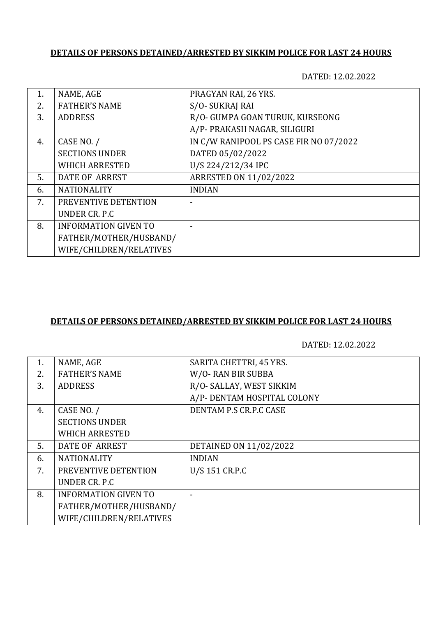## **DETAILS OF PERSONS DETAINED/ARRESTED BY SIKKIM POLICE FOR LAST 24 HOURS**

DATED: 12.02.2022

| 1. | NAME, AGE                   | PRAGYAN RAI, 26 YRS.                   |
|----|-----------------------------|----------------------------------------|
| 2. | <b>FATHER'S NAME</b>        | S/O-SUKRAJ RAI                         |
| 3. | <b>ADDRESS</b>              | R/O- GUMPA GOAN TURUK, KURSEONG        |
|    |                             | A/P- PRAKASH NAGAR, SILIGURI           |
| 4. | CASE NO. /                  | IN C/W RANIPOOL PS CASE FIR NO 07/2022 |
|    | <b>SECTIONS UNDER</b>       | DATED 05/02/2022                       |
|    | <b>WHICH ARRESTED</b>       | U/S 224/212/34 IPC                     |
| 5. | <b>DATE OF ARREST</b>       | ARRESTED ON 11/02/2022                 |
| 6. | <b>NATIONALITY</b>          | <b>INDIAN</b>                          |
| 7. | PREVENTIVE DETENTION        |                                        |
|    | UNDER CR. P.C.              |                                        |
| 8. | <b>INFORMATION GIVEN TO</b> |                                        |
|    | FATHER/MOTHER/HUSBAND/      |                                        |
|    | WIFE/CHILDREN/RELATIVES     |                                        |

## **DETAILS OF PERSONS DETAINED/ARRESTED BY SIKKIM POLICE FOR LAST 24 HOURS**

DATED: 12.02.2022

| 1. | NAME, AGE                   | SARITA CHETTRI, 45 YRS.     |
|----|-----------------------------|-----------------------------|
| 2. | <b>FATHER'S NAME</b>        | W/O-RAN BIR SUBBA           |
| 3. | <b>ADDRESS</b>              | R/O- SALLAY, WEST SIKKIM    |
|    |                             | A/P- DENTAM HOSPITAL COLONY |
| 4. | CASE NO. /                  | DENTAM P.S CR.P.C CASE      |
|    | <b>SECTIONS UNDER</b>       |                             |
|    | <b>WHICH ARRESTED</b>       |                             |
| 5. | <b>DATE OF ARREST</b>       | DETAINED ON 11/02/2022      |
| 6. | <b>NATIONALITY</b>          | <b>INDIAN</b>               |
| 7. | PREVENTIVE DETENTION        | U/S 151 CR.P.C              |
|    | UNDER CR. P.C.              |                             |
| 8. | <b>INFORMATION GIVEN TO</b> |                             |
|    | FATHER/MOTHER/HUSBAND/      |                             |
|    | WIFE/CHILDREN/RELATIVES     |                             |